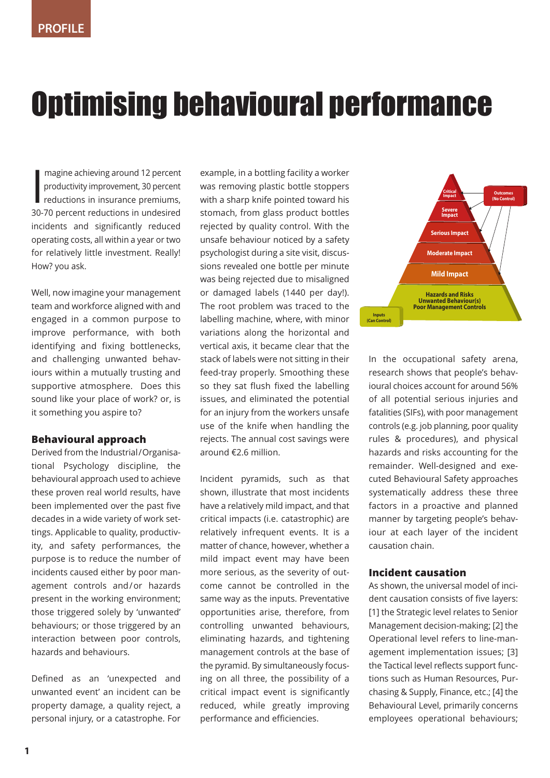# Optimising behavioural performance

 $\frac{1}{20}$ magine achieving around 12 percent productivity improvement, 30 percent reductions in insurance premiums, 30-70 percent reductions in undesired incidents and significantly reduced operating costs, all within a year or two for relatively little investment. Really! How? you ask.

Well, now imagine your management team and workforce aligned with and engaged in a common purpose to improve performance, with both identifying and fixing bottlenecks, and challenging unwanted behaviours within a mutually trusting and supportive atmosphere. Does this sound like your place of work? or, is it something you aspire to?

## **Behavioural approach**

Derived from the Industrial/Organisational Psychology discipline, the behavioural approach used to achieve these proven real world results, have been implemented over the past five decades in a wide variety of work settings. Applicable to quality, productivity, and safety performances, the purpose is to reduce the number of incidents caused either by poor management controls and/or hazards present in the working environment; those triggered solely by 'unwanted' behaviours; or those triggered by an interaction between poor controls, hazards and behaviours.

Defined as an 'unexpected and unwanted event' an incident can be property damage, a quality reject, a personal injury, or a catastrophe. For

example, in a bottling facility a worker was removing plastic bottle stoppers with a sharp knife pointed toward his stomach, from glass product bottles rejected by quality control. With the unsafe behaviour noticed by a safety psychologist during a site visit, discussions revealed one bottle per minute was being rejected due to misaligned or damaged labels (1440 per day!). The root problem was traced to the labelling machine, where, with minor variations along the horizontal and vertical axis, it became clear that the stack of labels were not sitting in their feed-tray properly. Smoothing these so they sat flush fixed the labelling issues, and eliminated the potential for an injury from the workers unsafe use of the knife when handling the rejects. The annual cost savings were around €2.6 million.

Incident pyramids, such as that shown, illustrate that most incidents have a relatively mild impact, and that critical impacts (i.e. catastrophic) are relatively infrequent events. It is a matter of chance, however, whether a mild impact event may have been more serious, as the severity of outcome cannot be controlled in the same way as the inputs. Preventative opportunities arise, therefore, from controlling unwanted behaviours, eliminating hazards, and tightening management controls at the base of the pyramid. By simultaneously focusing on all three, the possibility of a critical impact event is significantly reduced, while greatly improving performance and efficiencies.



In the occupational safety arena, research shows that people's behavioural choices account for around 56% of all potential serious injuries and fatalities (SIFs), with poor management controls (e.g. job planning, poor quality rules & procedures), and physical hazards and risks accounting for the remainder. Well-designed and executed Behavioural Safety approaches systematically address these three factors in a proactive and planned manner by targeting people's behaviour at each layer of the incident causation chain.

## **Incident causation**

As shown, the universal model of incident causation consists of five layers: [1] the Strategic level relates to Senior Management decision-making; [2] the Operational level refers to line-management implementation issues; [3] the Tactical level reflects support functions such as Human Resources, Purchasing & Supply, Finance, etc.; [4] the Behavioural Level, primarily concerns employees operational behaviours;